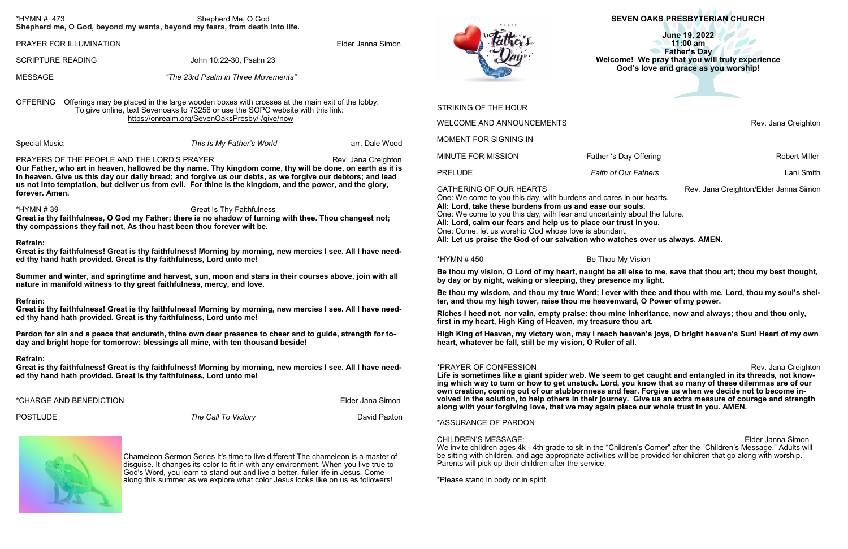Elder Janna Simon We invite children ages 4k - 4th grade to sit in the "Children's Corner" after the "Children's Message." Adults will be sitting with children, and age appropriate activities will be provided for children that go along with worship. Parents will pick up their children after the service.

| *HYMN # 473<br>Shepherd Me, O God                                                                                                                                                                                                                                                                                                                                                             |                                                                                                                                                                                                                          |                     | <b>SEVEN OAKS PRESBYTERIAN CHURCH</b>                                                                                                                                                                                                                                                                                                                                                                                                                                                                                                                                         |                                                           |                                                                                         |                                                                                                                                                                        |
|-----------------------------------------------------------------------------------------------------------------------------------------------------------------------------------------------------------------------------------------------------------------------------------------------------------------------------------------------------------------------------------------------|--------------------------------------------------------------------------------------------------------------------------------------------------------------------------------------------------------------------------|---------------------|-------------------------------------------------------------------------------------------------------------------------------------------------------------------------------------------------------------------------------------------------------------------------------------------------------------------------------------------------------------------------------------------------------------------------------------------------------------------------------------------------------------------------------------------------------------------------------|-----------------------------------------------------------|-----------------------------------------------------------------------------------------|------------------------------------------------------------------------------------------------------------------------------------------------------------------------|
| Shepherd me, O God, beyond my wants, beyond my fears, from death into life.<br>PRAYER FOR ILLUMINATION                                                                                                                                                                                                                                                                                        |                                                                                                                                                                                                                          | Elder Janna Simon   |                                                                                                                                                                                                                                                                                                                                                                                                                                                                                                                                                                               | <b>June 19, 2022</b><br>$11:00$ am<br><b>Father's Day</b> |                                                                                         |                                                                                                                                                                        |
| <b>SCRIPTURE READING</b><br>John 10:22-30, Psalm 23                                                                                                                                                                                                                                                                                                                                           |                                                                                                                                                                                                                          |                     |                                                                                                                                                                                                                                                                                                                                                                                                                                                                                                                                                                               |                                                           | Welcome! We pray that you will truly experience<br>God's love and grace as you worship! |                                                                                                                                                                        |
| <b>MESSAGE</b>                                                                                                                                                                                                                                                                                                                                                                                | "The 23rd Psalm in Three Movements"                                                                                                                                                                                      |                     |                                                                                                                                                                                                                                                                                                                                                                                                                                                                                                                                                                               |                                                           |                                                                                         |                                                                                                                                                                        |
| OFFERING Offerings may be placed in the large wooden boxes with crosses at the main exit of the lobby.<br>To give online, text Sevenoaks to 73256 or use the SOPC website with this link:                                                                                                                                                                                                     |                                                                                                                                                                                                                          |                     | STRIKING OF THE HOUR                                                                                                                                                                                                                                                                                                                                                                                                                                                                                                                                                          |                                                           |                                                                                         |                                                                                                                                                                        |
| https://onrealm.org/SevenOaksPresby/-/give/now                                                                                                                                                                                                                                                                                                                                                |                                                                                                                                                                                                                          |                     | <b>WELCOME AND ANNOUNCEMENTS</b>                                                                                                                                                                                                                                                                                                                                                                                                                                                                                                                                              |                                                           | Rev. Jana Creighton                                                                     |                                                                                                                                                                        |
| <b>Special Music:</b>                                                                                                                                                                                                                                                                                                                                                                         | This Is My Father's World                                                                                                                                                                                                | arr. Dale Wood      | MOMENT FOR SIGNING IN                                                                                                                                                                                                                                                                                                                                                                                                                                                                                                                                                         |                                                           |                                                                                         |                                                                                                                                                                        |
| PRAYERS OF THE PEOPLE AND THE LORD'S PRAYER                                                                                                                                                                                                                                                                                                                                                   |                                                                                                                                                                                                                          | Rev. Jana Creighton | MINUTE FOR MISSION                                                                                                                                                                                                                                                                                                                                                                                                                                                                                                                                                            | Father 's Day Offering                                    | <b>Robert Miller</b>                                                                    |                                                                                                                                                                        |
|                                                                                                                                                                                                                                                                                                                                                                                               | Our Father, who art in heaven, hallowed be thy name. Thy kingdom come, thy will be done, on earth as it is<br>in heaven. Give us this day our daily bread; and forgive us our debts, as we forgive our debtors; and lead |                     | <b>PRELUDE</b>                                                                                                                                                                                                                                                                                                                                                                                                                                                                                                                                                                | <b>Faith of Our Fathers</b>                               | Lani Smith                                                                              |                                                                                                                                                                        |
| us not into temptation, but deliver us from evil. For thine is the kingdom, and the power, and the glory,<br>forever. Amen.<br>*HYMN # 39<br><b>Great Is Thy Faithfulness</b><br>Great is thy faithfulness, O God my Father; there is no shadow of turning with thee. Thou changest not;<br>thy compassions they fail not, As thou hast been thou forever wilt be.<br><b>Refrain:</b>         |                                                                                                                                                                                                                          |                     | <b>GATHERING OF OUR HEARTS</b><br>Rev. Jana Creighton/Elder Janna Simon<br>One: We come to you this day, with burdens and cares in our hearts.<br>All: Lord, take these burdens from us and ease our souls.<br>One: We come to you this day, with fear and uncertainty about the future.<br>All: Lord, calm our fears and help us to place our trust in you.<br>One: Come, let us worship God whose love is abundant.<br>All: Let us praise the God of our salvation who watches over us always. AMEN.                                                                        |                                                           |                                                                                         |                                                                                                                                                                        |
|                                                                                                                                                                                                                                                                                                                                                                                               | Great is thy faithfulness! Great is thy faithfulness! Morning by morning, new mercies I see. All I have need-<br>ed thy hand hath provided. Great is thy faithfulness, Lord unto me!                                     |                     | *HYMN #450                                                                                                                                                                                                                                                                                                                                                                                                                                                                                                                                                                    | Be Thou My Vision                                         |                                                                                         |                                                                                                                                                                        |
| Summer and winter, and springtime and harvest, sun, moon and stars in their courses above, join with all<br>nature in manifold witness to thy great faithfulness, mercy, and love.<br><b>Refrain:</b><br>Great is thy faithfulness! Great is thy faithfulness! Morning by morning, new mercies I see. All I have need-<br>ed thy hand hath provided. Great is thy faithfulness, Lord unto me! |                                                                                                                                                                                                                          |                     | Be thou my vision, O Lord of my heart, naught be all else to me, save that thou art; thou my best thought,<br>by day or by night, waking or sleeping, they presence my light.<br>Be thou my wisdom, and thou my true Word; I ever with thee and thou with me, Lord, thou my soul's shel-<br>ter, and thou my high tower, raise thou me heavenward, O Power of my power.                                                                                                                                                                                                       |                                                           |                                                                                         |                                                                                                                                                                        |
|                                                                                                                                                                                                                                                                                                                                                                                               |                                                                                                                                                                                                                          |                     |                                                                                                                                                                                                                                                                                                                                                                                                                                                                                                                                                                               |                                                           |                                                                                         | Riches I heed not, nor vain, empty praise: thou mine inheritance, now and always; thou and thou only,<br>first in my heart, High King of Heaven, my treasure thou art. |
|                                                                                                                                                                                                                                                                                                                                                                                               |                                                                                                                                                                                                                          |                     | Pardon for sin and a peace that endureth, thine own dear presence to cheer and to guide, strength for to-<br>day and bright hope for tomorrow: blessings all mine, with ten thousand beside!                                                                                                                                                                                                                                                                                                                                                                                  |                                                           |                                                                                         | High King of Heaven, my victory won, may I reach heaven's joys, O bright heaven's Sun! Heart of my own<br>heart, whatever be fall, still be my vision, O Ruler of all. |
| <b>Refrain:</b><br>Great is thy faithfulness! Great is thy faithfulness! Morning by morning, new mercies I see. All I have need-<br>ed thy hand hath provided. Great is thy faithfulness, Lord unto me!<br>*CHARGE AND BENEDICTION<br>Elder Jana Simon                                                                                                                                        |                                                                                                                                                                                                                          |                     | *PRAYER OF CONFESSION<br>Rev. Jana Creighton<br>Life is sometimes like a giant spider web. We seem to get caught and entangled in its threads, not know-<br>ing which way to turn or how to get unstuck. Lord, you know that so many of these dilemmas are of our<br>own creation, coming out of our stubbornness and fear. Forgive us when we decide not to become in-<br>volved in the solution, to help others in their journey. Give us an extra measure of courage and strength<br>along with your forgiving love, that we may again place our whole trust in you. AMEN. |                                                           |                                                                                         |                                                                                                                                                                        |
| <b>POSTLUDE</b>                                                                                                                                                                                                                                                                                                                                                                               | The Call To Victory                                                                                                                                                                                                      | David Paxton        | *ASSURANCE OF PARDON                                                                                                                                                                                                                                                                                                                                                                                                                                                                                                                                                          |                                                           |                                                                                         |                                                                                                                                                                        |
|                                                                                                                                                                                                                                                                                                                                                                                               |                                                                                                                                                                                                                          |                     | <b>CHILDREN'S MESSAGE:</b>                                                                                                                                                                                                                                                                                                                                                                                                                                                                                                                                                    |                                                           | Elder Janna Simon                                                                       |                                                                                                                                                                        |

\*Please stand in body or in spirit.

Chameleon Sermon Series It's time to live different The chameleon is a master of disguise. It changes its color to fit in with any environment. When you live true to God's Word, you learn to stand out and live a better, fuller life in Jesus. Come along this summer as we explore what color Jesus looks like on us as followers!

# **VEN OAKS PRESBYTERIAN CHURCH**